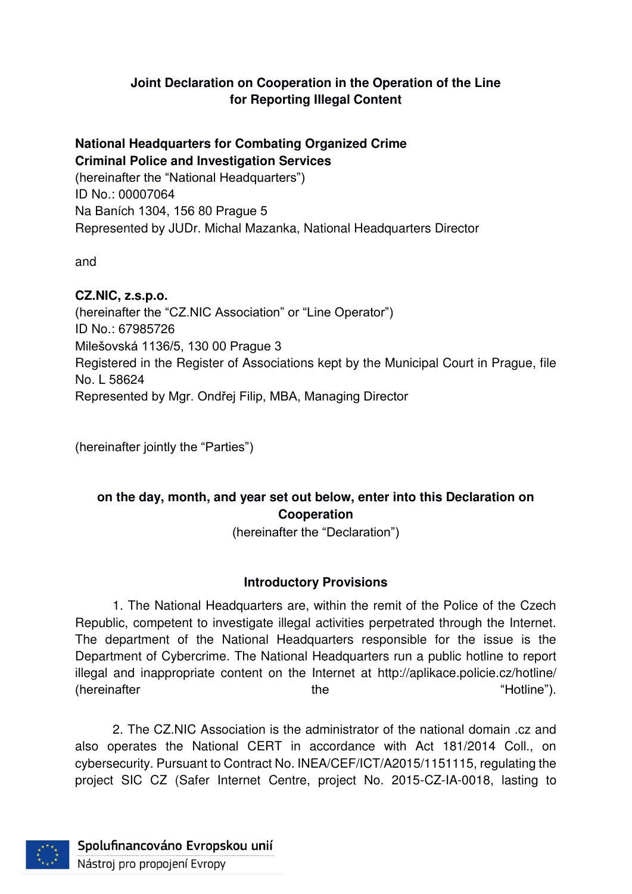## **Joint Declaration on Cooperation in the Operation of the Line for Reporting Illegal Content**

## **National Headquarters for Combating Organized Crime Criminal Police and Investigation Services**

(hereinafter the "National Headquarters") ID No.: 00007064 Na Baních 1304, 156 80 Prague 5 Represented by JUDr. Michal Mazanka, National Headquarters Director

and

## **CZ.NIC, z.s.p.o.**

(hereinafter the "CZ.NIC Association" or "Line Operator") ID No.: 67985726 Milešovská 1136/5, 130 00 Prague 3 Registered in the Register of Associations kept by the Municipal Court in Prague, file No. L 58624 Represented by Mgr. Ondřej Filip, MBA, Managing Director

(hereinafter jointly the "Parties")

# **on the day, month, and year set out below, enter into this Declaration on Cooperation**

(hereinafter the "Declaration")

## **Introductory Provisions**

1. The National Headquarters are, within the remit of the Police of the Czech Republic, competent to investigate illegal activities perpetrated through the Internet. The department of the National Headquarters responsible for the issue is the Department of Cybercrime. The National Headquarters run a public hotline to report illegal and inappropriate content on the Internet at http://aplikace.policie.cz/hotline/ (hereinafter the "Hotline").

2. The CZ.NIC Association is the administrator of the national domain .cz and also operates the National CERT in accordance with Act 181/2014 Coll., on cybersecurity. Pursuant to Contract No. INEA/CEF/ICT/A2015/1151115, regulating the project SIC CZ (Safer Internet Centre, project No. 2015-CZ-IA-0018, lasting to

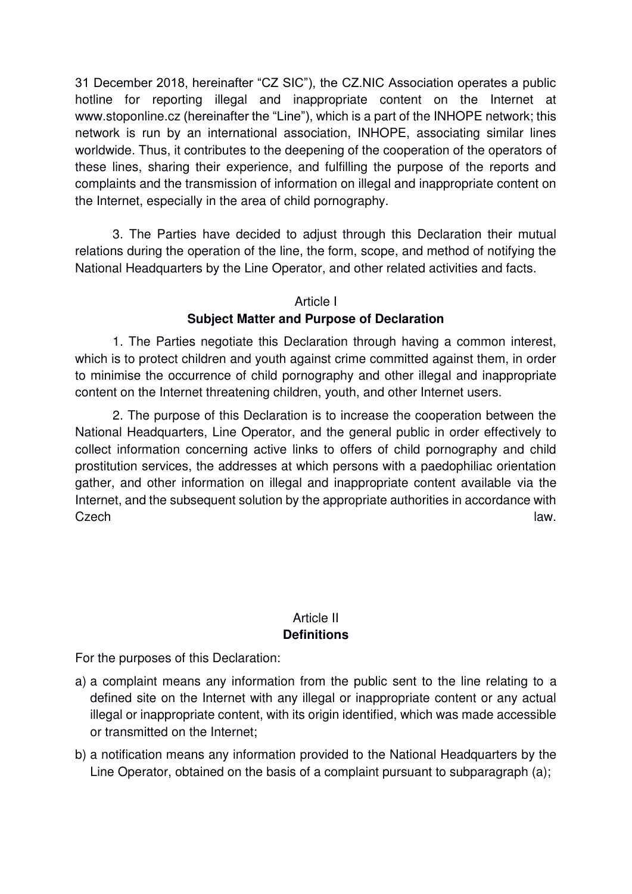31 December 2018, hereinafter "CZ SIC"), the CZ.NIC Association operates a public hotline for reporting illegal and inappropriate content on the Internet at www.stoponline.cz (hereinafter the "Line"), which is a part of the INHOPE network; this network is run by an international association, INHOPE, associating similar lines worldwide. Thus, it contributes to the deepening of the cooperation of the operators of these lines, sharing their experience, and fulfilling the purpose of the reports and complaints and the transmission of information on illegal and inappropriate content on the Internet, especially in the area of child pornography.

3. The Parties have decided to adjust through this Declaration their mutual relations during the operation of the line, the form, scope, and method of notifying the National Headquarters by the Line Operator, and other related activities and facts.

#### Article I

#### **Subject Matter and Purpose of Declaration**

1. The Parties negotiate this Declaration through having a common interest, which is to protect children and youth against crime committed against them, in order to minimise the occurrence of child pornography and other illegal and inappropriate content on the Internet threatening children, youth, and other Internet users.

2. The purpose of this Declaration is to increase the cooperation between the National Headquarters, Line Operator, and the general public in order effectively to collect information concerning active links to offers of child pornography and child prostitution services, the addresses at which persons with a paedophiliac orientation gather, and other information on illegal and inappropriate content available via the Internet, and the subsequent solution by the appropriate authorities in accordance with Czech law.

#### Article II **Definitions**

For the purposes of this Declaration:

- a) a complaint means any information from the public sent to the line relating to a defined site on the Internet with any illegal or inappropriate content or any actual illegal or inappropriate content, with its origin identified, which was made accessible or transmitted on the Internet;
- b) a notification means any information provided to the National Headquarters by the Line Operator, obtained on the basis of a complaint pursuant to subparagraph (a);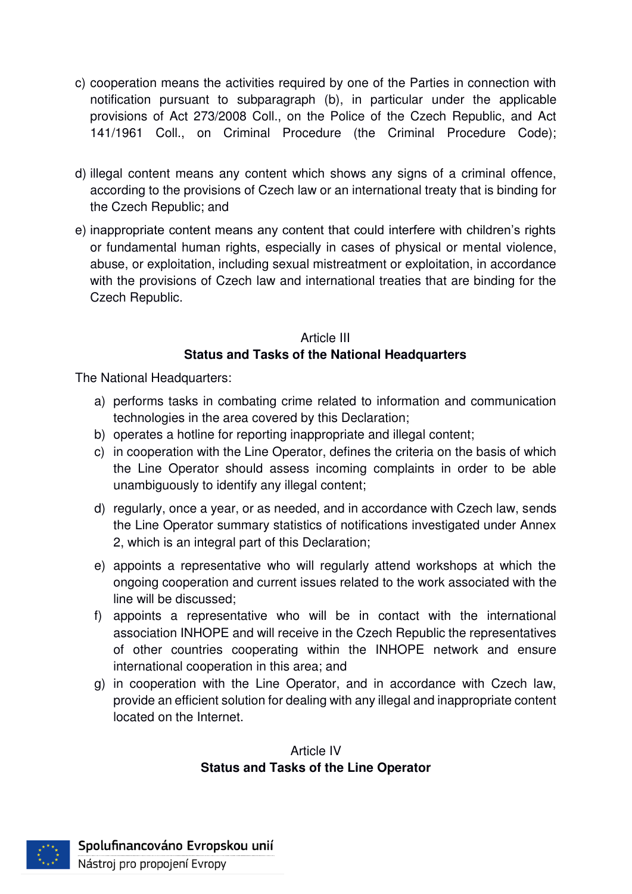- c) cooperation means the activities required by one of the Parties in connection with notification pursuant to subparagraph (b), in particular under the applicable provisions of Act 273/2008 Coll., on the Police of the Czech Republic, and Act 141/1961 Coll., on Criminal Procedure (the Criminal Procedure Code);
- d) illegal content means any content which shows any signs of a criminal offence, according to the provisions of Czech law or an international treaty that is binding for the Czech Republic; and
- e) inappropriate content means any content that could interfere with children's rights or fundamental human rights, especially in cases of physical or mental violence, abuse, or exploitation, including sexual mistreatment or exploitation, in accordance with the provisions of Czech law and international treaties that are binding for the Czech Republic.

## Article III **Status and Tasks of the National Headquarters**

The National Headquarters:

- a) performs tasks in combating crime related to information and communication technologies in the area covered by this Declaration;
- b) operates a hotline for reporting inappropriate and illegal content;
- c) in cooperation with the Line Operator, defines the criteria on the basis of which the Line Operator should assess incoming complaints in order to be able unambiguously to identify any illegal content;
- d) regularly, once a year, or as needed, and in accordance with Czech law, sends the Line Operator summary statistics of notifications investigated under Annex 2, which is an integral part of this Declaration;
- e) appoints a representative who will regularly attend workshops at which the ongoing cooperation and current issues related to the work associated with the line will be discussed;
- f) appoints a representative who will be in contact with the international association INHOPE and will receive in the Czech Republic the representatives of other countries cooperating within the INHOPE network and ensure international cooperation in this area; and
- g) in cooperation with the Line Operator, and in accordance with Czech law, provide an efficient solution for dealing with any illegal and inappropriate content located on the Internet.

## Article IV **Status and Tasks of the Line Operator**

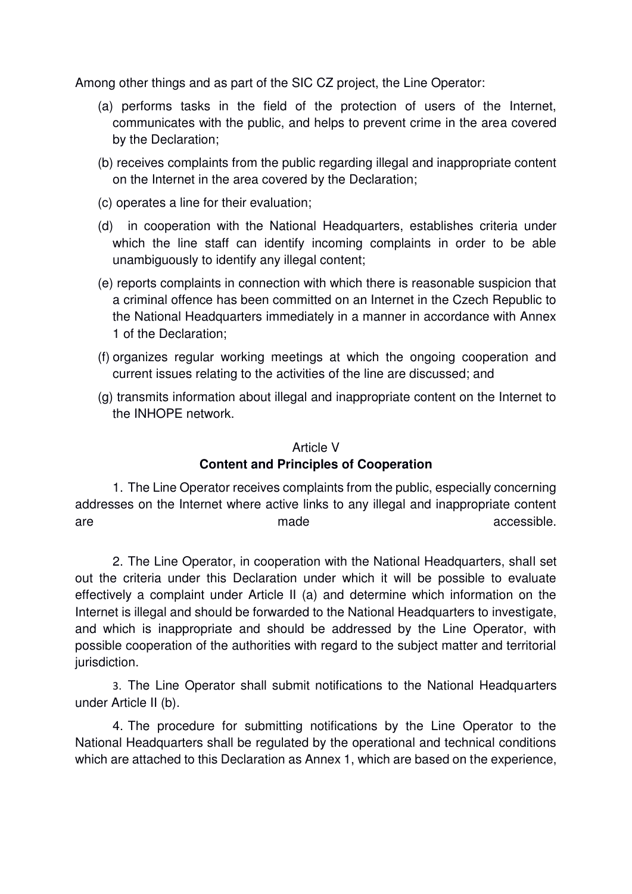Among other things and as part of the SIC CZ project, the Line Operator:

- (a) performs tasks in the field of the protection of users of the Internet, communicates with the public, and helps to prevent crime in the area covered by the Declaration;
- (b) receives complaints from the public regarding illegal and inappropriate content on the Internet in the area covered by the Declaration;
- (c) operates a line for their evaluation;
- (d) in cooperation with the National Headquarters, establishes criteria under which the line staff can identify incoming complaints in order to be able unambiguously to identify any illegal content;
- (e) reports complaints in connection with which there is reasonable suspicion that a criminal offence has been committed on an Internet in the Czech Republic to the National Headquarters immediately in a manner in accordance with Annex 1 of the Declaration;
- (f) organizes regular working meetings at which the ongoing cooperation and current issues relating to the activities of the line are discussed; and
- (g) transmits information about illegal and inappropriate content on the Internet to the INHOPE network.

#### Article V

#### **Content and Principles of Cooperation**

1. The Line Operator receives complaints from the public, especially concerning addresses on the Internet where active links to any illegal and inappropriate content are made accessible.

2. The Line Operator, in cooperation with the National Headquarters, shall set out the criteria under this Declaration under which it will be possible to evaluate effectively a complaint under Article II (a) and determine which information on the Internet is illegal and should be forwarded to the National Headquarters to investigate, and which is inappropriate and should be addressed by the Line Operator, with possible cooperation of the authorities with regard to the subject matter and territorial jurisdiction.

3. The Line Operator shall submit notifications to the National Headquarters under Article II (b).

4. The procedure for submitting notifications by the Line Operator to the National Headquarters shall be regulated by the operational and technical conditions which are attached to this Declaration as Annex 1, which are based on the experience,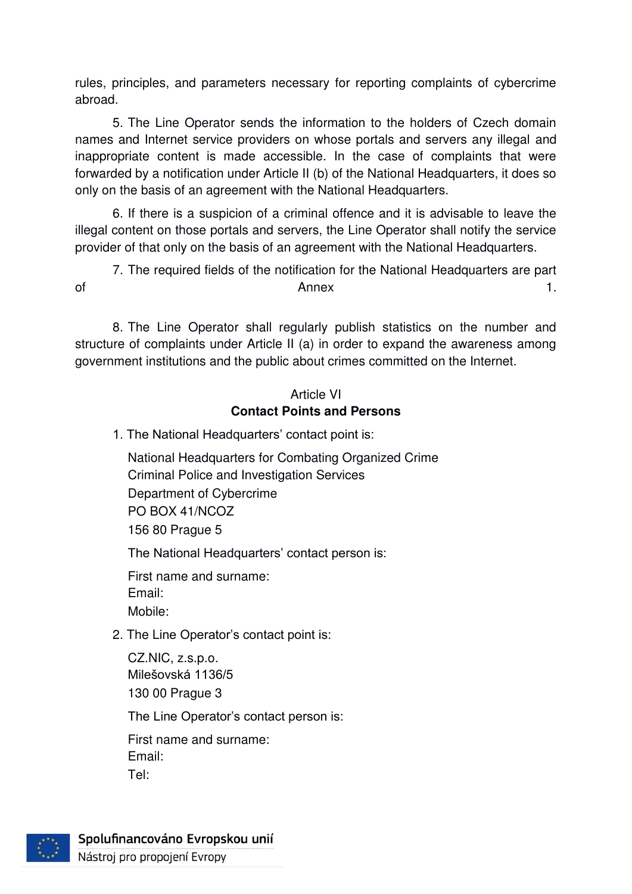rules, principles, and parameters necessary for reporting complaints of cybercrime abroad.

5. The Line Operator sends the information to the holders of Czech domain names and Internet service providers on whose portals and servers any illegal and inappropriate content is made accessible. In the case of complaints that were forwarded by a notification under Article II (b) of the National Headquarters, it does so only on the basis of an agreement with the National Headquarters.

6. If there is a suspicion of a criminal offence and it is advisable to leave the illegal content on those portals and servers, the Line Operator shall notify the service provider of that only on the basis of an agreement with the National Headquarters.

7. The required fields of the notification for the National Headquarters are part of **Annex** 1.

8. The Line Operator shall regularly publish statistics on the number and structure of complaints under Article II (a) in order to expand the awareness among government institutions and the public about crimes committed on the Internet.

## Article VI **Contact Points and Persons**

1. The National Headquarters' contact point is:

 National Headquarters for Combating Organized Crime Criminal Police and Investigation Services Department of Cybercrime PO BOX 41/NCOZ 156 80 Prague 5

The National Headquarters' contact person is:

 First name and surname: Email: Mobile:

2. The Line Operator's contact point is:

 CZ.NIC, z.s.p.o. Milešovská 1136/5 130 00 Prague 3

The Line Operator's contact person is:

 First name and surname: Email: Tel:



Spolufinancováno Evropskou unií

Nástroj pro propojení Evropy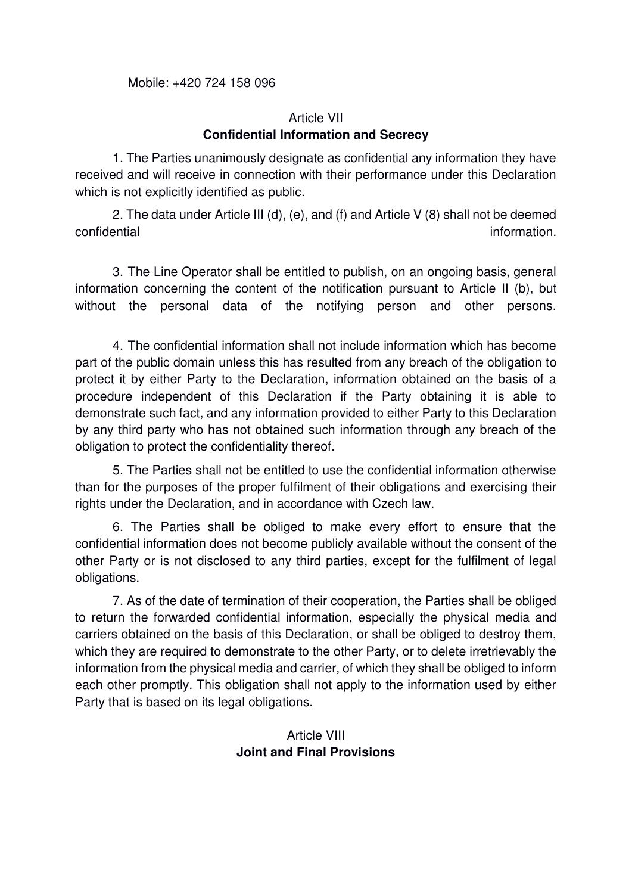Mobile: +420 724 158 096

#### Article VII **Confidential Information and Secrecy**

1. The Parties unanimously designate as confidential any information they have received and will receive in connection with their performance under this Declaration which is not explicitly identified as public.

2. The data under Article III (d), (e), and (f) and Article V (8) shall not be deemed confidential information.

3. The Line Operator shall be entitled to publish, on an ongoing basis, general information concerning the content of the notification pursuant to Article II (b), but without the personal data of the notifying person and other persons.

4. The confidential information shall not include information which has become part of the public domain unless this has resulted from any breach of the obligation to protect it by either Party to the Declaration, information obtained on the basis of a procedure independent of this Declaration if the Party obtaining it is able to demonstrate such fact, and any information provided to either Party to this Declaration by any third party who has not obtained such information through any breach of the obligation to protect the confidentiality thereof.

5. The Parties shall not be entitled to use the confidential information otherwise than for the purposes of the proper fulfilment of their obligations and exercising their rights under the Declaration, and in accordance with Czech law.

6. The Parties shall be obliged to make every effort to ensure that the confidential information does not become publicly available without the consent of the other Party or is not disclosed to any third parties, except for the fulfilment of legal obligations.

7. As of the date of termination of their cooperation, the Parties shall be obliged to return the forwarded confidential information, especially the physical media and carriers obtained on the basis of this Declaration, or shall be obliged to destroy them, which they are required to demonstrate to the other Party, or to delete irretrievably the information from the physical media and carrier, of which they shall be obliged to inform each other promptly. This obligation shall not apply to the information used by either Party that is based on its legal obligations.

> Article VIII **Joint and Final Provisions**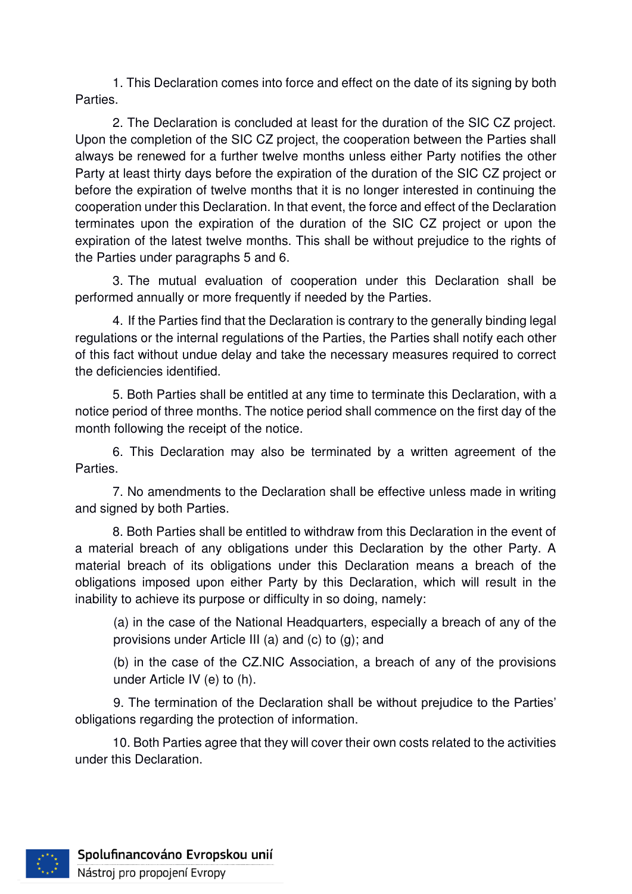1. This Declaration comes into force and effect on the date of its signing by both Parties.

2. The Declaration is concluded at least for the duration of the SIC CZ project. Upon the completion of the SIC CZ project, the cooperation between the Parties shall always be renewed for a further twelve months unless either Party notifies the other Party at least thirty days before the expiration of the duration of the SIC CZ project or before the expiration of twelve months that it is no longer interested in continuing the cooperation under this Declaration. In that event, the force and effect of the Declaration terminates upon the expiration of the duration of the SIC CZ project or upon the expiration of the latest twelve months. This shall be without prejudice to the rights of the Parties under paragraphs 5 and 6.

3. The mutual evaluation of cooperation under this Declaration shall be performed annually or more frequently if needed by the Parties.

4. If the Parties find that the Declaration is contrary to the generally binding legal regulations or the internal regulations of the Parties, the Parties shall notify each other of this fact without undue delay and take the necessary measures required to correct the deficiencies identified.

5. Both Parties shall be entitled at any time to terminate this Declaration, with a notice period of three months. The notice period shall commence on the first day of the month following the receipt of the notice.

6. This Declaration may also be terminated by a written agreement of the Parties.

7. No amendments to the Declaration shall be effective unless made in writing and signed by both Parties.

8. Both Parties shall be entitled to withdraw from this Declaration in the event of a material breach of any obligations under this Declaration by the other Party. A material breach of its obligations under this Declaration means a breach of the obligations imposed upon either Party by this Declaration, which will result in the inability to achieve its purpose or difficulty in so doing, namely:

(a) in the case of the National Headquarters, especially a breach of any of the provisions under Article III (a) and (c) to (g); and

(b) in the case of the CZ.NIC Association, a breach of any of the provisions under Article IV (e) to (h).

9. The termination of the Declaration shall be without prejudice to the Parties' obligations regarding the protection of information.

10. Both Parties agree that they will cover their own costs related to the activities under this Declaration.

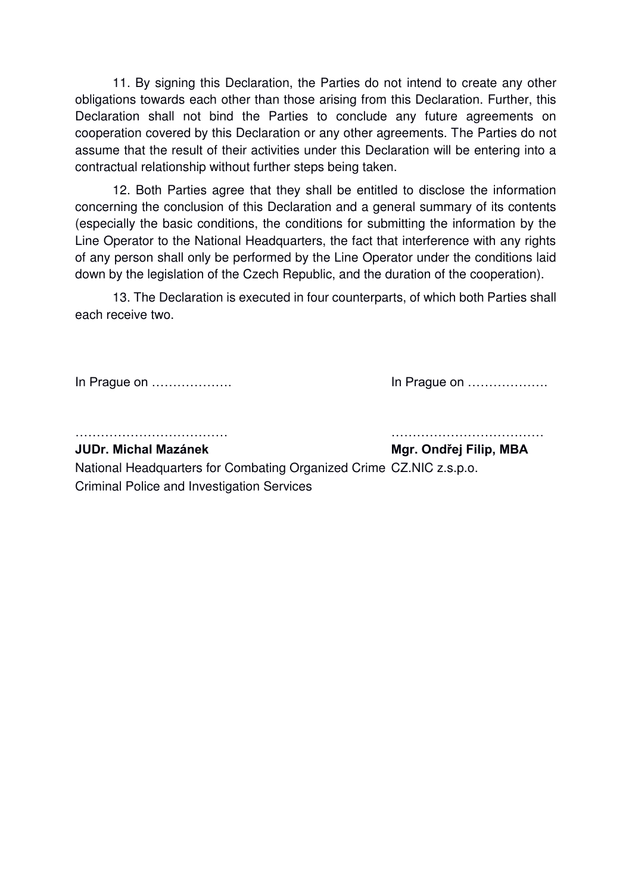11. By signing this Declaration, the Parties do not intend to create any other obligations towards each other than those arising from this Declaration. Further, this Declaration shall not bind the Parties to conclude any future agreements on cooperation covered by this Declaration or any other agreements. The Parties do not assume that the result of their activities under this Declaration will be entering into a contractual relationship without further steps being taken.

12. Both Parties agree that they shall be entitled to disclose the information concerning the conclusion of this Declaration and a general summary of its contents (especially the basic conditions, the conditions for submitting the information by the Line Operator to the National Headquarters, the fact that interference with any rights of any person shall only be performed by the Line Operator under the conditions laid down by the legislation of the Czech Republic, and the duration of the cooperation).

13. The Declaration is executed in four counterparts, of which both Parties shall each receive two.

In Prague on ………………. In Prague on ……………….

……………………………… ………………………………

**JUDr. Michal Mazánek Mgr. Ondřej Filip, MBA**

National Headquarters for Combating Organized Crime CZ.NIC z.s.p.o. Criminal Police and Investigation Services